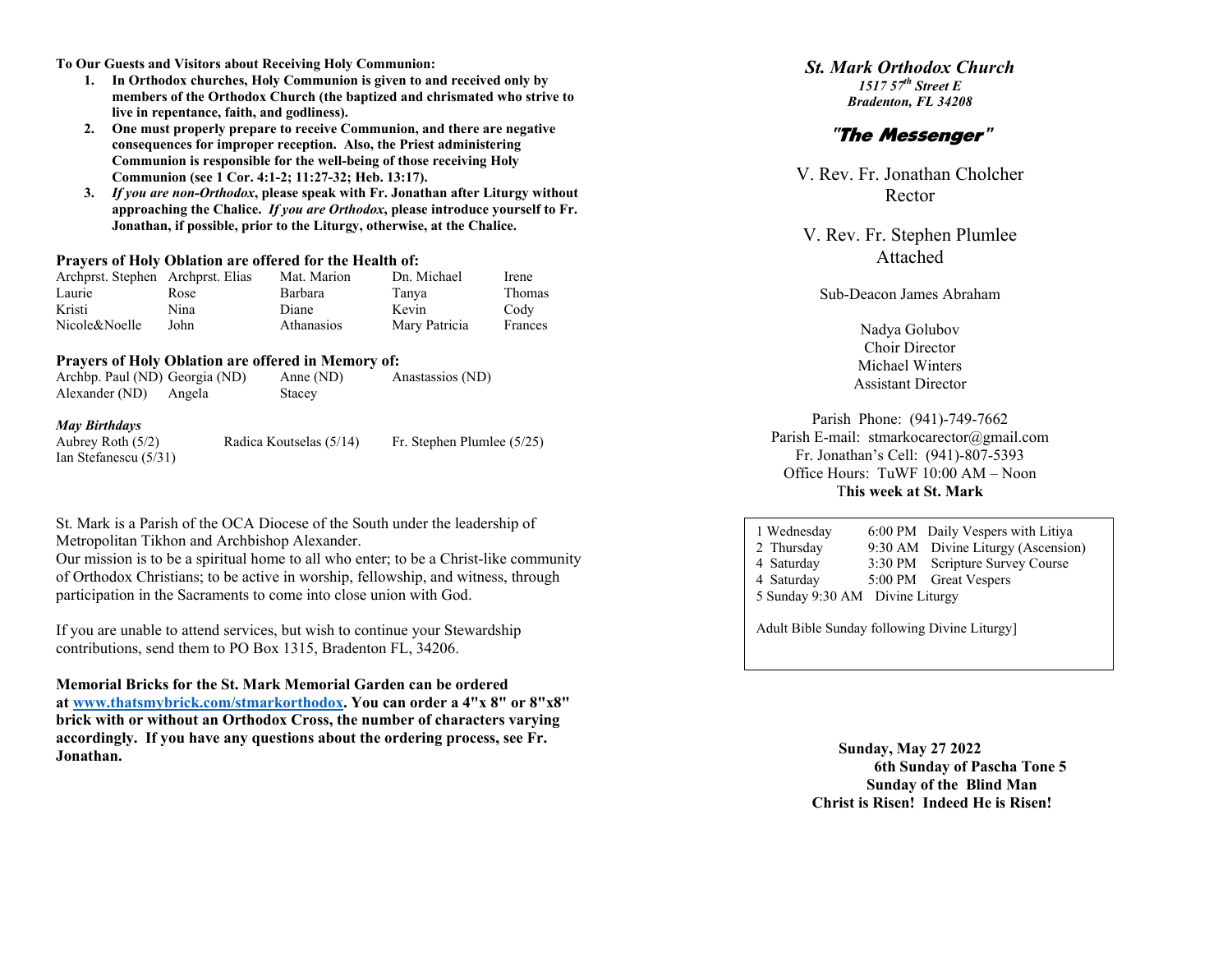**To Our Guests and Visitors about Receiving Holy Communion:**

- **1. In Orthodox churches, Holy Communion is given to and received only by members of the Orthodox Church (the baptized and chrismated who strive to live in repentance, faith, and godliness).**
- **2. One must properly prepare to receive Communion, and there are negative consequences for improper reception. Also, the Priest administering Communion is responsible for the well-being of those receiving Holy Communion (see 1 Cor. 4:1-2; 11:27-32; Heb. 13:17).**
- **3.** *If you are non-Orthodox***, please speak with Fr. Jonathan after Liturgy without approaching the Chalice.** *If you are Orthodox***, please introduce yourself to Fr. Jonathan, if possible, prior to the Liturgy, otherwise, at the Chalice.**

#### **Prayers of Holy Oblation are offered for the Health of:**

| Archprst. Stephen Archprst. Elias |      | Mat. Marion       | Dn. Michael   | Irene         |
|-----------------------------------|------|-------------------|---------------|---------------|
| Laurie                            | Rose | <b>Barbara</b>    | Tanya         | <b>Thomas</b> |
| Kristi                            | Nina | Diane             | Kevin         | Cody          |
| Nicole&Noelle                     | John | <b>Athanasios</b> | Mary Patricia | Frances       |

#### **Prayers of Holy Oblation are offered in Memory of:**

| Alexander (ND)<br>Angela | Stacey |  |
|--------------------------|--------|--|
| <b>May Birthdays</b>     |        |  |

Aubrey Roth (5/2) Ian Stefanescu (5/31) Radica Koutselas  $(5/14)$  Fr. Stephen Plumlee  $(5/25)$ 

St. Mark is a Parish of the OCA Diocese of the South under the leadership of Metropolitan Tikhon and Archbishop Alexander.

Our mission is to be a spiritual home to all who enter; to be a Christ-like community of Orthodox Christians; to be active in worship, fellowship, and witness, through participation in the Sacraments to come into close union with God.

If you are unable to attend services, but wish to continue your Stewardship contributions, send them to PO Box 1315, Bradenton FL, 34206.

**Memorial Bricks for the St. Mark Memorial Garden can be ordered at [www.thatsmybrick.com/stmarkorthodox.](about:blank) You can order a 4"x 8" or 8"x8" brick with or without an Orthodox Cross, the number of characters varying accordingly. If you have any questions about the ordering process, see Fr. Jonathan.**

#### *St. Mark Orthodox Church 1517 57th Street E Bradenton, FL 34208*

# "The Messenger"

V. Rev. Fr. Jonathan Cholcher Rector

V. Rev. Fr. Stephen Plumlee Attached

Sub-Deacon James Abraham

Nadya Golubov Choir Director Michael Winters Assistant Director

Parish Phone: (941)-749-7662 Parish E-mail: stmarkocarector@gmail.com Fr. Jonathan's Cell: (941)-807-5393 Office Hours: TuWF 10:00 AM – Noon T**his week at St. Mark**

| 1 Wednesday                                 |  | 6:00 PM Daily Vespers with Litiya  |  |  |  |
|---------------------------------------------|--|------------------------------------|--|--|--|
| 2 Thursday                                  |  | 9:30 AM Divine Liturgy (Ascension) |  |  |  |
| 4 Saturday                                  |  | 3:30 PM Scripture Survey Course    |  |  |  |
| 4 Saturday                                  |  | 5:00 PM Great Vespers              |  |  |  |
| 5 Sunday 9:30 AM Divine Liturgy             |  |                                    |  |  |  |
|                                             |  |                                    |  |  |  |
| Adult Bible Sunday following Divine Liturgy |  |                                    |  |  |  |

**Sunday, May 27 2022 6th Sunday of Pascha Tone 5 Sunday of the Blind Man Christ is Risen! Indeed He is Risen!**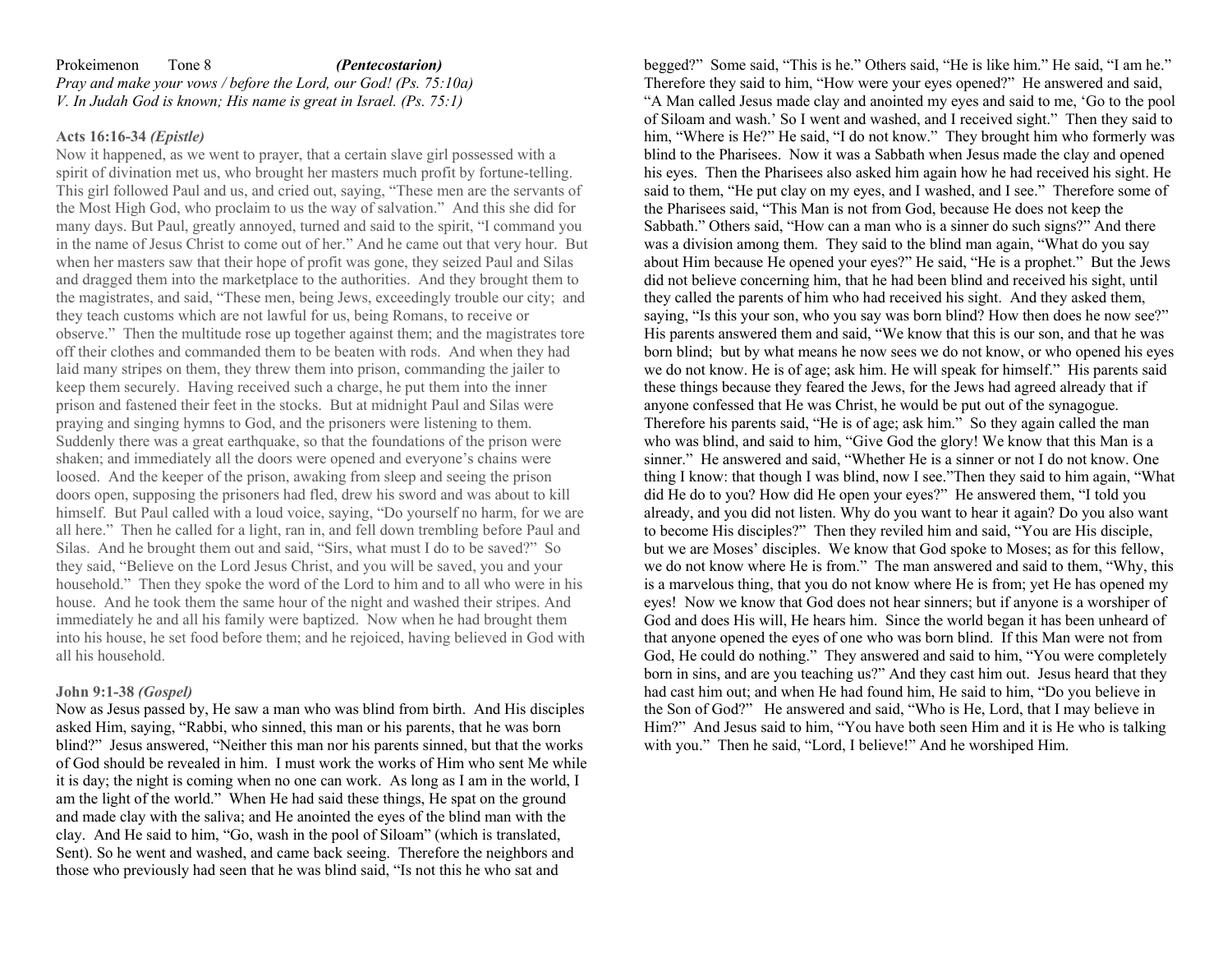#### Prokeimenon Tone 8 *(Pentecostarion) Pray and make your vows / before the Lord, our God! (Ps. 75:10a) V. In Judah God is known; His name is great in Israel. (Ps. 75:1)*

### **Acts 16:16-34** *(Epistle)*

Now it happened, as we went to prayer, that a certain slave girl possessed with a spirit of divination met us, who brought her masters much profit by fortune-telling. This girl followed Paul and us, and cried out, saying, "These men are the servants of the Most High God, who proclaim to us the way of salvation." And this she did for many days. But Paul, greatly annoyed, turned and said to the spirit, "I command you in the name of Jesus Christ to come out of her." And he came out that very hour. But when her masters saw that their hope of profit was gone, they seized Paul and Silas and dragged them into the marketplace to the authorities. And they brought them to the magistrates, and said, "These men, being Jews, exceedingly trouble our city; and they teach customs which are not lawful for us, being Romans, to receive or observe." Then the multitude rose up together against them; and the magistrates tore off their clothes and commanded them to be beaten with rods. And when they had laid many stripes on them, they threw them into prison, commanding the jailer to keep them securely. Having received such a charge, he put them into the inner prison and fastened their feet in the stocks. But at midnight Paul and Silas were praying and singing hymns to God, and the prisoners were listening to them. Suddenly there was a great earthquake, so that the foundations of the prison were shaken; and immediately all the doors were opened and everyone's chains were loosed. And the keeper of the prison, awaking from sleep and seeing the prison doors open, supposing the prisoners had fled, drew his sword and was about to kill himself. But Paul called with a loud voice, saying, "Do yourself no harm, for we are all here." Then he called for a light, ran in, and fell down trembling before Paul and Silas. And he brought them out and said, "Sirs, what must I do to be saved?" So they said, "Believe on the Lord Jesus Christ, and you will be saved, you and your household." Then they spoke the word of the Lord to him and to all who were in his house. And he took them the same hour of the night and washed their stripes. And immediately he and all his family were baptized. Now when he had brought them into his house, he set food before them; and he rejoiced, having believed in God with all his household.

#### **John 9:1-38** *(Gospel)*

Now as Jesus passed by, He saw a man who was blind from birth.And His disciples asked Him, saying, "Rabbi, who sinned, this man or his parents, that he was born blind?"Jesus answered, "Neither this man nor his parents sinned, but that the works of God should be revealed in him.I must work the works of Him who sent Me while it is day; the night is coming when no one can work.As long as I am in the world, I am the light of the world."When He had said these things, He spat on the ground and made clay with the saliva; and He anointed the eyes of the blind man with the clay.And He said to him, "Go, wash in the pool of Siloam" (which is translated, Sent). So he went and washed, and came back seeing.Therefore the neighbors and those who previously had seen that he was blind said, "Is not this he who sat and

begged?"Some said, "This is he." Others said, "He is like him." He said, "I am he." Therefore they said to him, "How were your eyes opened?"He answered and said, "A Man called Jesus made clay and anointed my eyes and said to me, 'Go to the pool of Siloam and wash.' So I went and washed, and I received sight."Then they said to him, "Where is He?" He said, "I do not know."They brought him who formerly was blind to the Pharisees.Now it was a Sabbath when Jesus made the clay and opened his eyes.Then the Pharisees also asked him again how he had received his sight. He said to them, "He put clay on my eyes, and I washed, and I see."Therefore some of the Pharisees said, "This Man is not from God, because He does not keep the Sabbath." Others said, "How can a man who is a sinner do such signs?" And there was a division among them.They said to the blind man again, "What do you say about Him because He opened your eyes?" He said, "He is a prophet."But the Jews did not believe concerning him, that he had been blind and received his sight, until they called the parents of him who had received his sight.And they asked them, saying, "Is this your son, who you say was born blind? How then does he now see?" His parents answered them and said, "We know that this is our son, and that he was born blind;but by what means he now sees we do not know, or who opened his eyes we do not know. He is of age; ask him. He will speak for himself."His parents said these things because they feared the Jews, for the Jews had agreed already that if anyone confessed that He was Christ, he would be put out of the synagogue. Therefore his parents said, "He is of age; ask him."So they again called the man who was blind, and said to him, "Give God the glory! We know that this Man is a sinner."He answered and said, "Whether He is a sinner or not I do not know. One thing I know: that though I was blind, now I see."Then they said to him again, "What did He do to you? How did He open your eyes?"He answered them, "I told you already, and you did not listen. Why do you want to hear it again? Do you also want to become His disciples?"Then they reviled him and said, "You are His disciple, but we are Moses' disciples.We know that God spoke to Moses; as for this fellow, we do not know where He is from."The man answered and said to them, "Why, this is a marvelous thing, that you do not know where He is from; yet He has opened my eyes!Now we know that God does not hear sinners; but if anyone is a worshiper of God and does His will, He hears him.Since the world began it has been unheard of that anyone opened the eyes of one who was born blind.If this Man were not from God, He could do nothing."They answered and said to him, "You were completely born in sins, and are you teaching us?" And they cast him out.Jesus heard that they had cast him out; and when He had found him, He said to him, "Do you believe in the Son of God?"He answered and said, "Who is He, Lord, that I may believe in Him?"And Jesus said to him, "You have both seen Him and it is He who is talking with you."Then he said, "Lord, I believe!" And he worshiped Him.